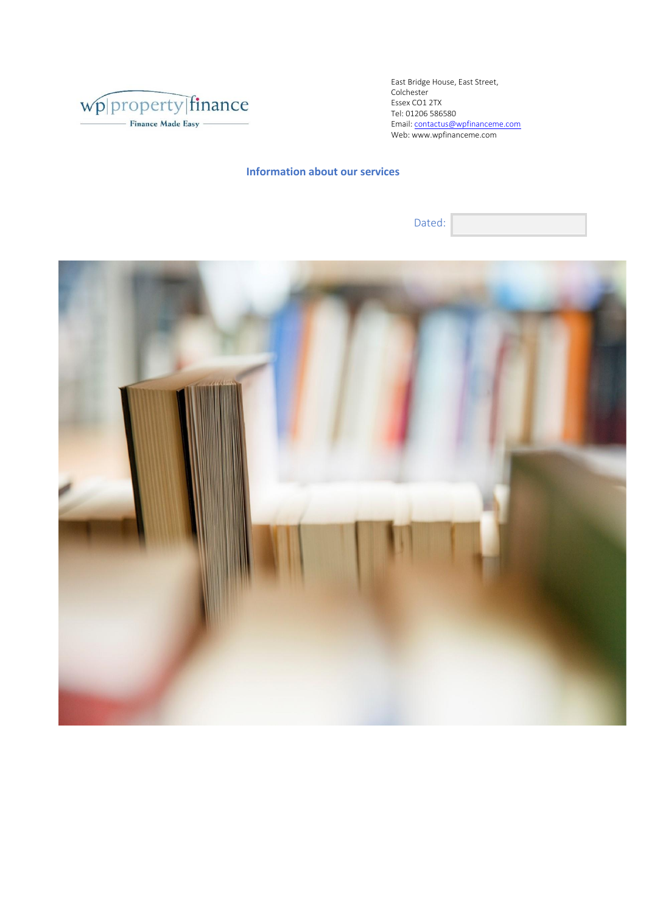

Tel : 01206 [586580](mailto:contactus@wpfinanceme.com) East Bridge House, East Street, Colchester Email: contactus@wpfinanceme.com Web: www.wpfinanceme.com Essex CO1 2TX

Dated:

**Information about our services**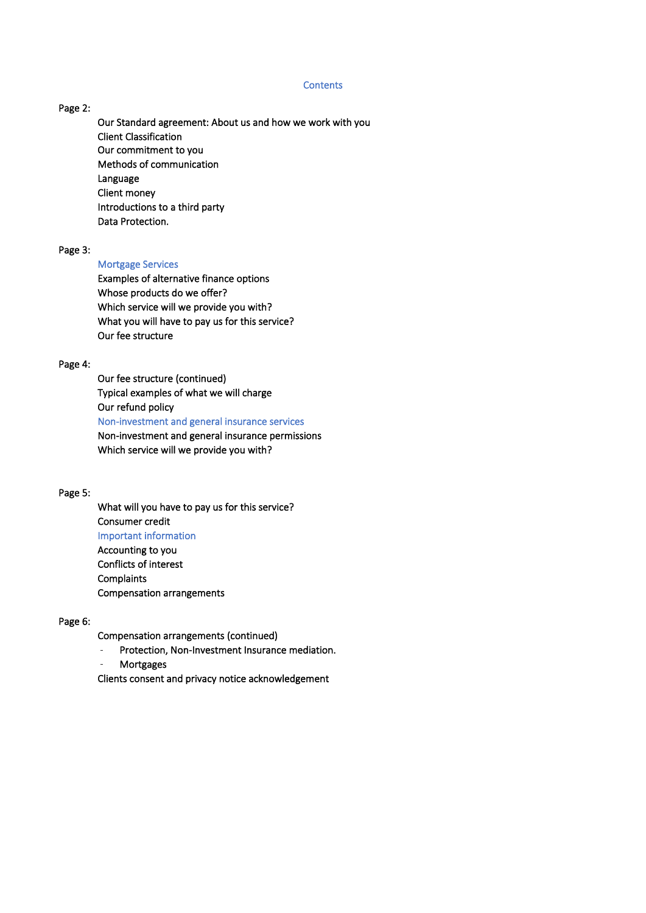#### **Contents**

## Page 2:

Our Standard agreement: About us and how we work with you Client Classification Our commitment to you Methods of communication Language Client money Introductions to a third party Data Protection.

#### Page 3:

### Mortgage Services

 Examples of alternative finance options Whose products do we offer? Which service will we provide you with? What you will have to pay us for this service? Our fee structure

#### Page 4:

 Our fee structure (continued) Typical examples of what we will charge Our refund policy Non-investment and general insurance services Non-investment and general insurance permissions Which service will we provide you with?

### Page 5:

 What will you have to pay us for this service? Consumer credit Important information Accounting to you

 Conflicts of interest **Complaints** Compensation arrangements

## Page 6:

Compensation arrangements (continued)

- Protection, Non-Investment Insurance mediation.
- **Mortgages**

Clients consent and privacy notice acknowledgement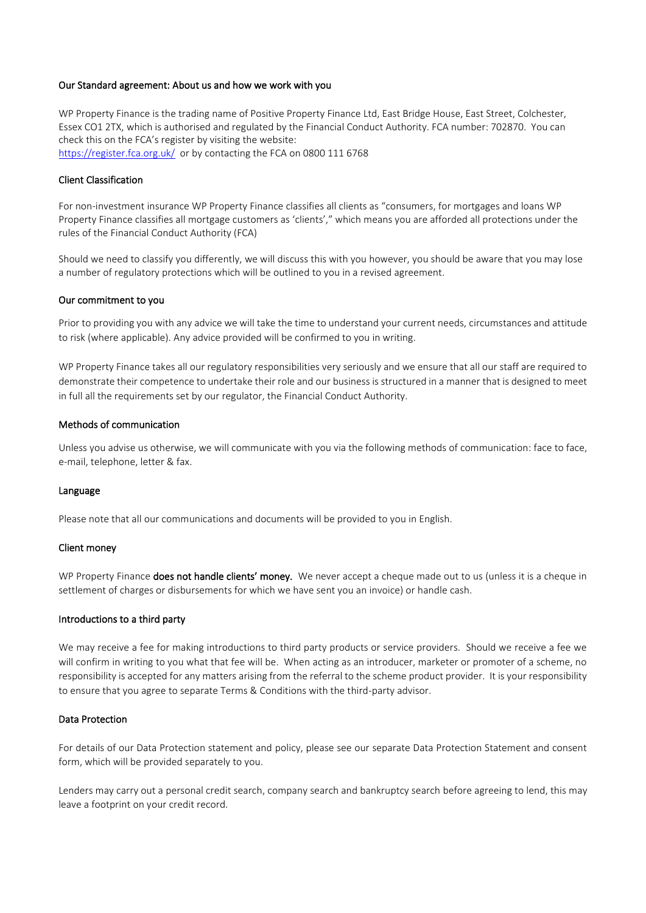#### Our Standard agreement: About us and how we work with you

WP Property Finance is the trading name of Positive Property Finance Ltd, East Bridge House, East Street, Colchester, Essex CO1 2TX, which is authorised and regulated by the Financial Conduct Authority. FCA number: 702870. You can check this on the FCA's register by visiting the website: <https://register.fca.org.uk/>or by contacting the FCA on 0800 111 6768

### Client Classification

For non-investment insurance WP Property Finance classifies all clients as "consumers, for mortgages and loans WP Property Finance classifies all mortgage customers as 'clients'," which means you are afforded all protections under the rules of the Financial Conduct Authority (FCA)

Should we need to classify you differently, we will discuss this with you however, you should be aware that you may lose a number of regulatory protections which will be outlined to you in a revised agreement.

#### Our commitment to you

Prior to providing you with any advice we will take the time to understand your current needs, circumstances and attitude to risk (where applicable). Any advice provided will be confirmed to you in writing.

WP Property Finance takes all our regulatory responsibilities very seriously and we ensure that all our staff are required to demonstrate their competence to undertake their role and our business is structured in a manner that is designed to meet in full all the requirements set by our regulator, the Financial Conduct Authority.

## Methods of communication

Unless you advise us otherwise, we will communicate with you via the following methods of communication: face to face, e-mail, telephone, letter & fax.

#### Language

Please note that all our communications and documents will be provided to you in English.

#### Client money

WP Property Finance does not handle clients' money. We never accept a cheque made out to us (unless it is a cheque in settlement of charges or disbursements for which we have sent you an invoice) or handle cash.

#### Introductions to a third party

We may receive a fee for making introductions to third party products or service providers. Should we receive a fee we will confirm in writing to you what that fee will be. When acting as an introducer, marketer or promoter of a scheme, no responsibility is accepted for any matters arising from the referral to the scheme product provider. It is your responsibility to ensure that you agree to separate Terms & Conditions with the third-party advisor.

### Data Protection

For details of our Data Protection statement and policy, please see our separate Data Protection Statement and consent form, which will be provided separately to you.

Lenders may carry out a personal credit search, company search and bankruptcy search before agreeing to lend, this may leave a footprint on your credit record.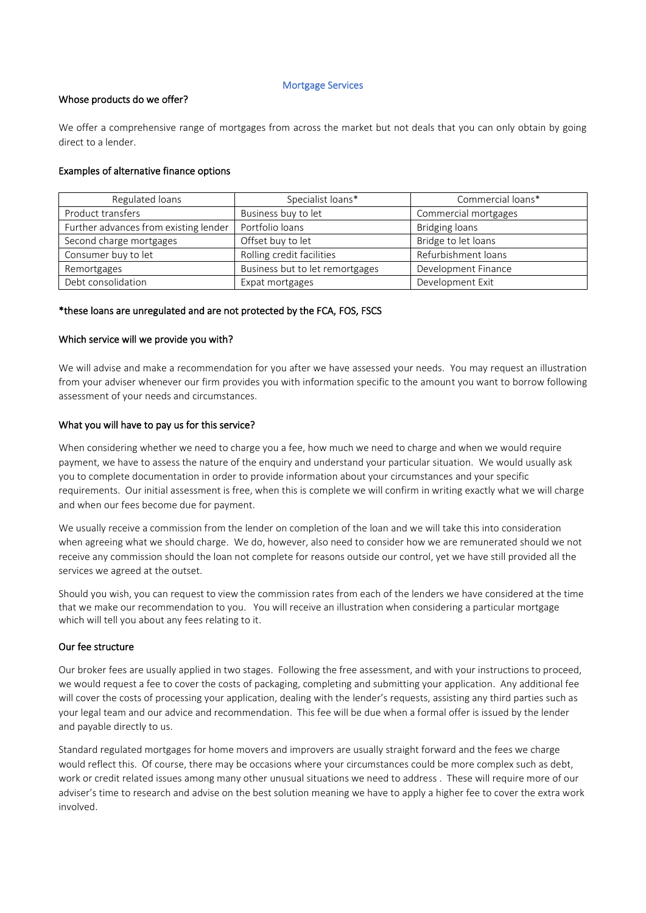#### Mortgage Services

## Whose products do we offer?

We offer a comprehensive range of mortgages from across the market but not deals that you can only obtain by going direct to a lender.

# Examples of alternative finance options

| Regulated loans                       | Specialist loans*               | Commercial loans*     |
|---------------------------------------|---------------------------------|-----------------------|
| Product transfers                     | Business buy to let             | Commercial mortgages  |
| Further advances from existing lender | Portfolio loans                 | <b>Bridging loans</b> |
| Second charge mortgages               | Offset buy to let               | Bridge to let loans   |
| Consumer buy to let                   | Rolling credit facilities       | Refurbishment loans   |
| Remortgages                           | Business but to let remortgages | Development Finance   |
| Debt consolidation                    | Expat mortgages                 | Development Exit      |

# \*these loans are unregulated and are not protected by the FCA, FOS, FSCS

# Which service will we provide you with?

We will advise and make a recommendation for you after we have assessed your needs. You may request an illustration from your adviser whenever our firm provides you with information specific to the amount you want to borrow following assessment of your needs and circumstances.

# What you will have to pay us for this service?

When considering whether we need to charge you a fee, how much we need to charge and when we would require payment, we have to assess the nature of the enquiry and understand your particular situation. We would usually ask you to complete documentation in order to provide information about your circumstances and your specific requirements. Our initial assessment is free, when this is complete we will confirm in writing exactly what we will charge and when our fees become due for payment.

We usually receive a commission from the lender on completion of the loan and we will take this into consideration when agreeing what we should charge. We do, however, also need to consider how we are remunerated should we not receive any commission should the loan not complete for reasons outside our control, yet we have still provided all the services we agreed at the outset.

Should you wish, you can request to view the commission rates from each of the lenders we have considered at the time that we make our recommendation to you. You will receive an illustration when considering a particular mortgage which will tell you about any fees relating to it.

## Our fee structure

Our broker fees are usually applied in two stages. Following the free assessment, and with your instructions to proceed, we would request a fee to cover the costs of packaging, completing and submitting your application. Any additional fee will cover the costs of processing your application, dealing with the lender's requests, assisting any third parties such as your legal team and our advice and recommendation. This fee will be due when a formal offer is issued by the lender and payable directly to us.

Standard regulated mortgages for home movers and improvers are usually straight forward and the fees we charge would reflect this. Of course, there may be occasions where your circumstances could be more complex such as debt, work or credit related issues among many other unusual situations we need to address . These will require more of our adviser's time to research and advise on the best solution meaning we have to apply a higher fee to cover the extra work involved.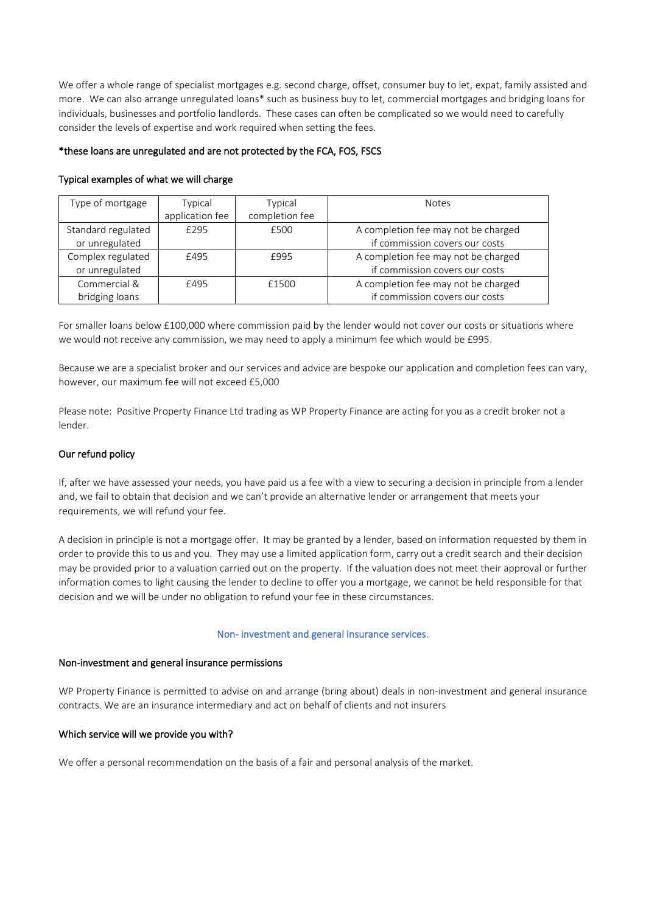We offer a whole range of specialist mortgages e.g. second charge, offset, consumer buy to let, expat, family assisted and more. We can also arrange unregulated loans\* such as business buy to let, commercial mortgages and bridging loans for individuals, businesses and portfolio landlords. These cases can often be complicated so we would need to carefully consider the levels of expertise and work required when setting the fees.

# \*these loans are unregulated and are not protected by the FCA, FOS, FSCS

| Type of mortgage   | Typical         | Typical        | <b>Notes</b>                        |
|--------------------|-----------------|----------------|-------------------------------------|
|                    | application fee | completion fee |                                     |
| Standard regulated | £295            | £500           | A completion fee may not be charged |
| or unregulated     |                 |                | if commission covers our costs      |
| Complex regulated  | £495            | £995           | A completion fee may not be charged |
| or unregulated     |                 |                | if commission covers our costs      |
| Commercial &       | £495            | £1500          | A completion fee may not be charged |
| bridging loans     |                 |                | if commission covers our costs      |

# Typical examples of what we will charge

For smaller loans below £100,000 where commission paid by the lender would not cover our costs or situations where we would not receive any commission, we may need to apply a minimum fee which would be £995.

Because we are a specialist broker and our services and advice are bespoke our application and completion fees can vary, however, our maximum fee will not exceed £5,000

Please note: Positive Property Finance Ltd trading as WP Property Finance are acting for you as a credit broker not a lender.

# Our refund policy

If, after we have assessed your needs, you have paid us a fee with a view to securing a decision in principle from a lender and, we fail to obtain that decision and we can't provide an alternative lender or arrangement that meets your requirements, we will refund your fee.

A decision in principle is not a mortgage offer. It may be granted by a lender, based on information requested by them in order to provide this to us and you. They may use a limited application form, carry out a credit search and their decision may be provided prior to a valuation carried out on the property. If the valuation does not meet their approval or further information comes to light causing the lender to decline to offer you a mortgage, we cannot be held responsible for that decision and we will be under no obligation to refund your fee in these circumstances.

## Non- investment and general insurance services.

## Non-investment and general insurance permissions

WP Property Finance is permitted to advise on and arrange (bring about) deals in non-investment and general insurance contracts. We are an insurance intermediary and act on behalf of clients and not insurers

## Which service will we provide you with?

We offer a personal recommendation on the basis of a fair and personal analysis of the market.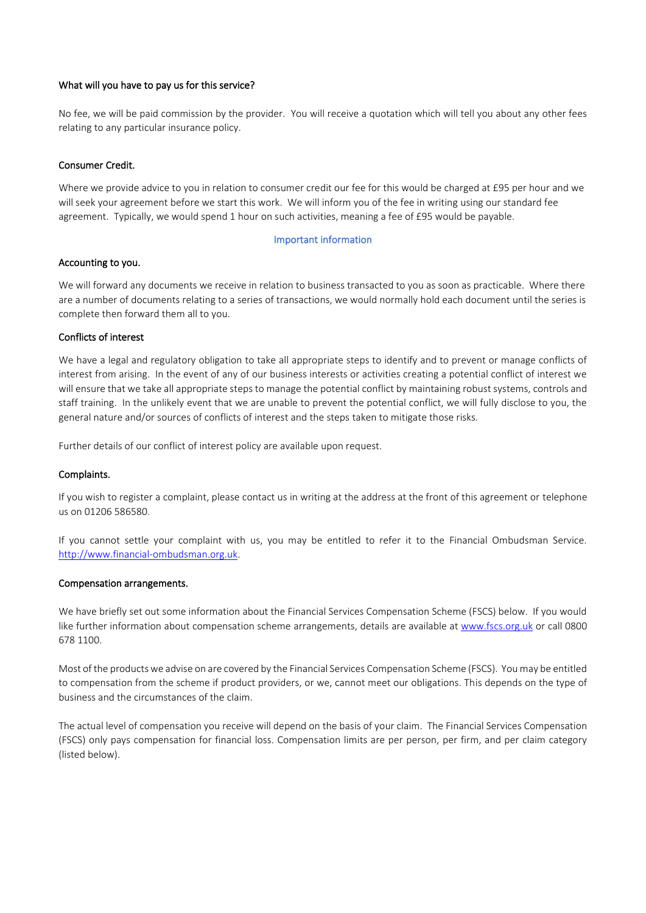## What will you have to pay us for this service?

No fee, we will be paid commission by the provider. You will receive a quotation which will tell you about any other fees relating to any particular insurance policy.

## Consumer Credit.

Where we provide advice to you in relation to consumer credit our fee for this would be charged at £95 per hour and we will seek your agreement before we start this work. We will inform you of the fee in writing using our standard fee agreement. Typically, we would spend 1 hour on such activities, meaning a fee of £95 would be payable.

## Important information

## Accounting to you.

We will forward any documents we receive in relation to business transacted to you as soon as practicable. Where there are a number of documents relating to a series of transactions, we would normally hold each document until the series is complete then forward them all to you.

# Conflicts of interest

We have a legal and regulatory obligation to take all appropriate steps to identify and to prevent or manage conflicts of interest from arising. In the event of any of our business interests or activities creating a potential conflict of interest we will ensure that we take all appropriate steps to manage the potential conflict by maintaining robust systems, controls and staff training. In the unlikely event that we are unable to prevent the potential conflict, we will fully disclose to you, the general nature and/or sources of conflicts of interest and the steps taken to mitigate those risks.

Further details of our conflict of interest policy are available upon request.

## Complaints.

If you wish to register a complaint, please contact us in writing at the address at the front of this agreement or telephone us on 01206 586580.

If you cannot settle your complaint with us, you may be entitled to refer it to the Financial Ombudsman Service. [http://www.financial-ombudsman.org.uk.](http://www.financial-ombudsman.org.uk/)

## Compensation arrangements.

We have briefly set out some information about the Financial Services Compensation Scheme (FSCS) below. If you would like further information about compensation scheme arrangements, details are available at [www.fscs.org.uk](http://www.fscs.org.uk/) or call 0800 678 1100.

Most of the products we advise on are covered by the Financial Services Compensation Scheme (FSCS). You may be entitled to compensation from the scheme if product providers, or we, cannot meet our obligations. This depends on the type of business and the circumstances of the claim.

The actual level of compensation you receive will depend on the basis of your claim. The Financial Services Compensation (FSCS) only pays compensation for financial loss. Compensation limits are per person, per firm, and per claim category (listed below).